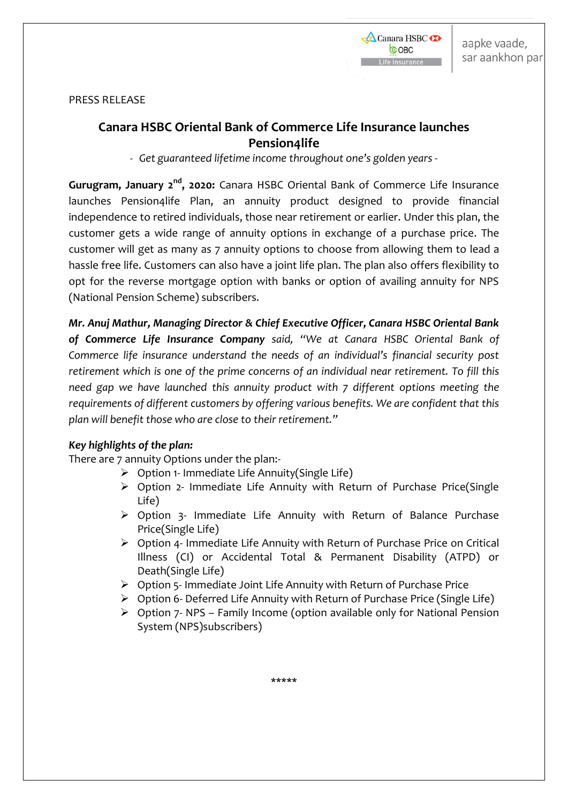

PRESS RELEASE

# **Canara HSBC Oriental Bank of Commerce Life Insurance launches Pension4life**

*- Get guaranteed lifetime income throughout one's golden years -*

Gurugram, January 2<sup>nd</sup>, 2020: Canara HSBC Oriental Bank of Commerce Life Insurance launches Pension4life Plan, an annuity product designed to provide financial independence to retired individuals, those near retirement or earlier. Under this plan, the customer gets a wide range of annuity options in exchange of a purchase price. The customer will get as many as 7 annuity options to choose from allowing them to lead a hassle free life. Customers can also have a joint life plan. The plan also offers flexibility to opt for the reverse mortgage option with banks or option of availing annuity for NPS (National Pension Scheme) subscribers.

*Mr. Anuj Mathur, Managing Director & Chief Executive Officer, Canara HSBC Oriental Bank of Commerce Life Insurance Company said, "We at Canara HSBC Oriental Bank of Commerce life insurance understand the needs of an individual's financial security post retirement which is one of the prime concerns of an individual near retirement. To fill this need gap we have launched this annuity product with 7 different options meeting the requirements of different customers by offering various benefits. We are confident that this plan will benefit those who are close to their retirement."*

# *Key highlights of the plan:*

There are 7 annuity Options under the plan:-

- $\triangleright$  Option 1- Immediate Life Annuity(Single Life)
- Option 2- Immediate Life Annuity with Return of Purchase Price(Single Life)
- Option 3- Immediate Life Annuity with Return of Balance Purchase Price(Single Life)
- $\triangleright$  Option 4- Immediate Life Annuity with Return of Purchase Price on Critical Illness (CI) or Accidental Total & Permanent Disability (ATPD) or Death(Single Life)
- $\triangleright$  Option 5- Immediate Joint Life Annuity with Return of Purchase Price
- Option 6- Deferred Life Annuity with Return of Purchase Price (Single Life)
- $\triangleright$  Option 7- NPS Family Income (option available only for National Pension System (NPS)subscribers)

**\*\*\*\*\***